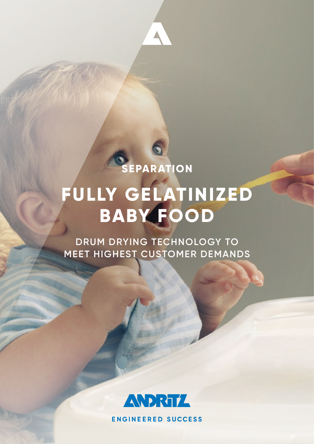

## **FULLY GELATINIZED BABY FOOD**

**DRUM DRYING TECHNOLOGY TO MEET HIGHEST CUSTOMER DEMANDS**



**ENGINEERED SUCCESS**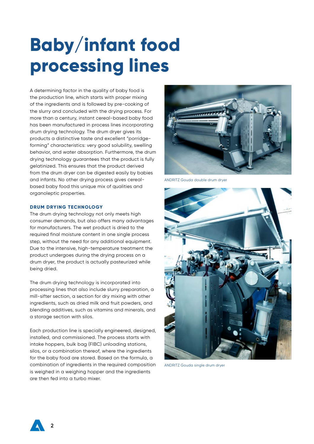# **Baby/infant food processing lines**

A determining factor in the quality of baby food is the production line, which starts with proper mixing of the ingredients and is followed by pre-cooking of the slurry and concluded with the drying process. For more than a century, instant cereal-based baby food has been manufactured in process lines incorporating drum drying technology. The drum dryer gives its products a distinctive taste and excellent "porridgeforming" characteristics: very good solubility, swelling behavior, and water absorption. Furthermore, the drum drying technology guarantees that the product is fully gelatinized. This ensures that the product derived from the drum dryer can be digested easily by babies and infants. No other drying process gives cerealbased baby food this unique mix of qualities and organoleptic properties.

#### **DRUM DRYING TECHNOLOGY**

The drum drying technology not only meets high consumer demands, but also offers many advantages for manufacturers. The wet product is dried to the required final moisture content in one single process step, without the need for any additional equipment. Due to the intensive, high-temperature treatment the product undergoes during the drying process on a drum dryer, the product is actually pasteurized while being dried.

The drum drying technology is incorporated into processing lines that also include slurry preparation, a mill-sifter section, a section for dry mixing with other ingredients, such as dried milk and fruit powders, and blending additives, such as vitamins and minerals, and a storage section with silos.

Each production line is specially engineered, designed, installed, and commissioned. The process starts with intake hoppers, bulk bag (FIBC) unloading stations, silos, or a combination thereof, where the ingredients for the baby food are stored. Based on the formula, a combination of ingredients in the required composition is weighed in a weighing hopper and the ingredients are then fed into a turbo mixer.



ANDRITZ Gouda double drum dryer



ANDRITZ Gouda single drum dryer

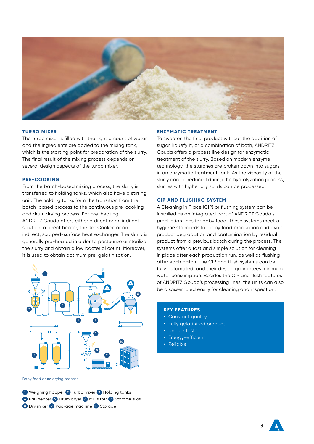

#### **TURBO MIXER**

The turbo mixer is filled with the right amount of water and the ingredients are added to the mixing tank, which is the starting point for preparation of the slurry. The final result of the mixing process depends on several design aspects of the turbo mixer.

#### **PRE-COOKING**

From the batch-based mixing process, the slurry is transferred to holding tanks, which also have a stirring unit. The holding tanks form the transition from the batch-based process to the continuous pre-cooking and drum drying process. For pre-heating, ANDRITZ Gouda offers either a direct or an indirect solution: a direct heater, the Jet Cooker, or an indirect, scraped-surface heat exchanger. The slurry is generally pre-heated in order to pasteurize or sterilize the slurry and obtain a low bacterial count. Moreover, it is used to obtain optimum pre-gelatinization.



Baby food drum drying process

**1** Weighing hopper **2** Turbo mixer **3** Holding tanks **4** Pre-heater **5** Drum dryer **6** Mill sifter **7** Storage silos **8** Dry mixer **9** Package machine **10** Storage

#### **ENZYMATIC TREATMENT**

To sweeten the final product without the addition of sugar, liquefy it, or a combination of both, ANDRITZ Gouda offers a process line design for enzymatic treatment of the slurry. Based on modern enzyme technology, the starches are broken down into sugars in an enzymatic treatment tank. As the viscosity of the slurry can be reduced during the hydrolyzation process, slurries with higher dry solids can be processed.

#### **CIP AND FLUSHING SYSTEM**

A Cleaning in Place (CIP) or flushing system can be installed as an integrated part of ANDRITZ Gouda's production lines for baby food. These systems meet all hygiene standards for baby food production and avoid product degradation and contamination by residual product from a previous batch during the process. The systems offer a fast and simple solution for cleaning in place after each production run, as well as flushing after each batch. The CIP and flush systems can be fully automated, and their design guarantees minimum water consumption. Besides the CIP and flush features of ANDRITZ Gouda's processing lines, the units can also be disassembled easily for cleaning and inspection.

#### **KEY FEATURES**

- Constant quality
- Fully gelatinized product
- Unique taste
- Energy-efficient
- Reliable